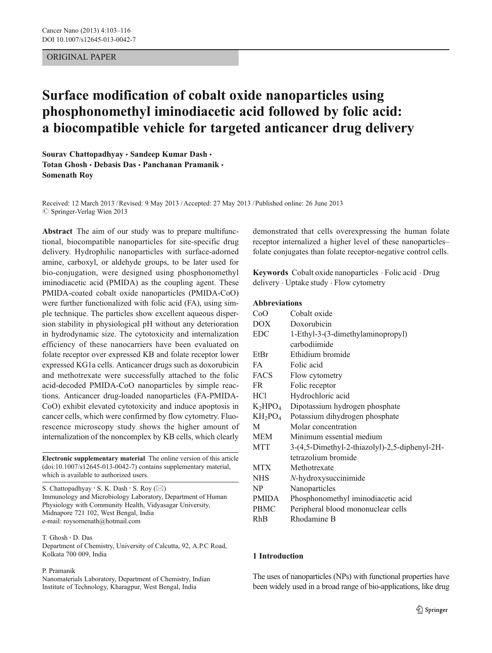# ORIGINAL PAPER

# Surface modification of cobalt oxide nanoparticles using phosphonomethyl iminodiacetic acid followed by folic acid: a biocompatible vehicle for targeted anticancer drug delivery

Sourav Chattopadhyay · Sandeep Kumar Dash · Totan Ghosh · Debasis Das · Panchanan Pramanik · Somenath Roy

Received: 12 March 2013 /Revised: 9 May 2013 /Accepted: 27 May 2013 / Published online: 26 June 2013  $\oslash$  Springer-Verlag Wien 2013

Abstract The aim of our study was to prepare multifunctional, biocompatible nanoparticles for site-specific drug delivery. Hydrophilic nanoparticles with surface-adorned amine, carboxyl, or aldehyde groups, to be later used for bio-conjugation, were designed using phosphonomethyl iminodiacetic acid (PMIDA) as the coupling agent. These PMIDA-coated cobalt oxide nanoparticles (PMIDA-CoO) were further functionalized with folic acid (FA), using simple technique. The particles show excellent aqueous dispersion stability in physiological pH without any deterioration in hydrodynamic size. The cytotoxicity and internalization efficiency of these nanocarriers have been evaluated on folate receptor over expressed KB and folate receptor lower expressed KG1a cells. Anticancer drugs such as doxorubicin and methotrexate were successfully attached to the folic acid-decoded PMIDA-CoO nanoparticles by simple reactions. Anticancer drug-loaded nanoparticles (FA-PMIDA-CoO) exhibit elevated cytotoxicity and induce apoptosis in cancer cells, which were confirmed by flow cytometry. Fluorescence microscopy study shows the higher amount of internalization of the noncomplex by KB cells, which clearly

Electronic supplementary material The online version of this article (doi:[10.1007/s12645-013-0042-7](http://dx.doi.org/10.1007/s12645-013-0042-7)) contains supplementary material, which is available to authorized users.

S. Chattopadhyay  $\cdot$  S. K. Dash  $\cdot$  S. Roy ( $\boxtimes$ ) Immunology and Microbiology Laboratory, Department of Human Physiology with Community Health, Vidyasagar University, Midnapore 721 102, West Bengal, India e-mail: roysomenath@hotmail.com

T. Ghosh : D. Das Department of Chemistry, University of Calcutta, 92, A.P.C Road, Kolkata 700 009, India

#### P. Pramanik

Nanomaterials Laboratory, Department of Chemistry, Indian Institute of Technology, Kharagpur, West Bengal, India

demonstrated that cells overexpressing the human folate receptor internalized a higher level of these nanoparticles– folate conjugates than folate receptor-negative control cells.

Keywords Cobalt oxide nanoparticles . Folic acid . Drug delivery . Uptake study . Flow cytometry

### Abbreviations

| CoO          | Cobalt oxide                                  |
|--------------|-----------------------------------------------|
| DOX.         | Doxorubicin                                   |
| <b>EDC</b>   | 1-Ethyl-3-(3-dimethylaminopropyl)             |
|              | carbodiimide                                  |
| EtBr         | Ethidium bromide                              |
| FA           | Folic acid                                    |
| FACS         | Flow cytometry                                |
| FR.          | Folic receptor                                |
| HC1          | Hydrochloric acid                             |
| $K_2HPO_4$   | Dipotassium hydrogen phosphate                |
| $KH_2PO_4$   | Potassium dihydrogen phosphate                |
| M            | Molar concentration                           |
| MEM          | Minimum essential medium                      |
| <b>MTT</b>   | 3-(4,5-Dimethyl-2-thiazolyl)-2,5-diphenyl-2H- |
|              | tetrazolium bromide                           |
| MTX          | Methotrexate                                  |
| <b>NHS</b>   | N-hydroxysuccinimide                          |
| NP           | Nanoparticles                                 |
| <b>PMIDA</b> | Phosphonomethyl iminodiacetic acid            |
| <b>PBMC</b>  | Peripheral blood mononuclear cells            |
| RhB          | Rhodamine B                                   |

### 1 Introduction

The uses of nanoparticles (NPs) with functional properties have been widely used in a broad range of bio-applications, like drug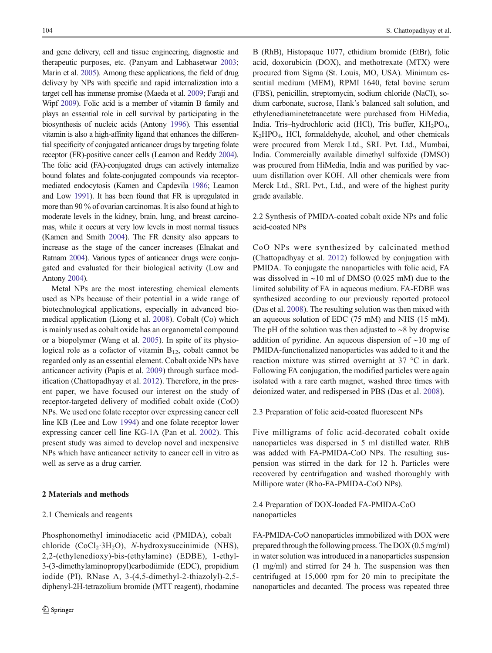and gene delivery, cell and tissue engineering, diagnostic and therapeutic purposes, etc. (Panyam and Labhasetwar [2003](#page-12-0); Marin et al. [2005\)](#page-12-0). Among these applications, the field of drug delivery by NPs with specific and rapid internalization into a target cell has immense promise (Maeda et al. [2009](#page-12-0); Faraji and Wipf [2009\)](#page-12-0). Folic acid is a member of vitamin B family and plays an essential role in cell survival by participating in the biosynthesis of nucleic acids (Antony [1996\)](#page-12-0). This essential vitamin is also a high-affinity ligand that enhances the differential specificity of conjugated anticancer drugs by targeting folate receptor (FR)-positive cancer cells (Leamon and Reddy [2004\)](#page-12-0). The folic acid (FA)-conjugated drugs can actively internalize bound folates and folate-conjugated compounds via receptormediated endocytosis (Kamen and Capdevila [1986](#page-12-0); Leamon and Low [1991\)](#page-12-0). It has been found that FR is upregulated in more than 90 % of ovarian carcinomas. It is also found at high to moderate levels in the kidney, brain, lung, and breast carcinomas, while it occurs at very low levels in most normal tissues (Kamen and Smith [2004](#page-12-0)). The FR density also appears to increase as the stage of the cancer increases (Elnakat and Ratnam [2004\)](#page-12-0). Various types of anticancer drugs were conjugated and evaluated for their biological activity (Low and Antony [2004](#page-12-0)).

Metal NPs are the most interesting chemical elements used as NPs because of their potential in a wide range of biotechnological applications, especially in advanced biomedical application (Liong et al. [2008](#page-12-0)). Cobalt (Co) which is mainly used as cobalt oxide has an organometal compound or a biopolymer (Wang et al. [2005](#page-13-0)). In spite of its physiological role as a cofactor of vitamin  $B_{12}$ , cobalt cannot be regarded only as an essential element. Cobalt oxide NPs have anticancer activity (Papis et al. [2009\)](#page-12-0) through surface modification (Chattopadhyay et al. [2012](#page-12-0)). Therefore, in the present paper, we have focused our interest on the study of receptor-targeted delivery of modified cobalt oxide (CoO) NPs. We used one folate receptor over expressing cancer cell line KB (Lee and Low [1994](#page-12-0)) and one folate receptor lower expressing cancer cell line KG-1A (Pan et al. [2002](#page-12-0)). This present study was aimed to develop novel and inexpensive NPs which have anticancer activity to cancer cell in vitro as well as serve as a drug carrier.

### 2 Materials and methods

### 2.1 Chemicals and reagents

Phosphonomethyl iminodiacetic acid (PMIDA), cobalt chloride  $(CoCl<sub>2</sub>·3H<sub>2</sub>O)$ , *N*-hydroxysuccinimide (NHS), 2,2-(ethylenedioxy)-bis-(ethylamine) (EDBE), 1-ethyl-3-(3-dimethylaminopropyl)carbodiimide (EDC), propidium iodide (PI), RNase A, 3-(4,5-dimethyl-2-thiazolyl)-2,5 diphenyl-2H-tetrazolium bromide (MTT reagent), rhodamine

B (RhB), Histopaque 1077, ethidium bromide (EtBr), folic acid, doxorubicin (DOX), and methotrexate (MTX) were procured from Sigma (St. Louis, MO, USA). Minimum essential medium (MEM), RPMI 1640, fetal bovine serum (FBS), penicillin, streptomycin, sodium chloride (NaCl), sodium carbonate, sucrose, Hank's balanced salt solution, and ethylenediaminetetraacetate were purchased from HiMedia, India. Tris-hydrochloric acid (HCl), Tris buffer, KH<sub>2</sub>PO<sub>4</sub>, K2HPO4, HCl, formaldehyde, alcohol, and other chemicals were procured from Merck Ltd., SRL Pvt. Ltd., Mumbai, India. Commercially available dimethyl sulfoxide (DMSO) was procured from HiMedia, India and was purified by vacuum distillation over KOH. All other chemicals were from Merck Ltd., SRL Pvt., Ltd., and were of the highest purity grade available.

2.2 Synthesis of PMIDA-coated cobalt oxide NPs and folic acid-coated NPs

CoO NPs were synthesized by calcinated method (Chattopadhyay et al. [2012\)](#page-12-0) followed by conjugation with PMIDA. To conjugate the nanoparticles with folic acid, FA was dissolved in ∼10 ml of DMSO (0.025 mM) due to the limited solubility of FA in aqueous medium. FA-EDBE was synthesized according to our previously reported protocol (Das et al. [2008\)](#page-12-0). The resulting solution was then mixed with an aqueous solution of EDC (75 mM) and NHS (15 mM). The pH of the solution was then adjusted to ∼8 by dropwise addition of pyridine. An aqueous dispersion of ∼10 mg of PMIDA-functionalized nanoparticles was added to it and the reaction mixture was stirred overnight at 37 °C in dark. Following FA conjugation, the modified particles were again isolated with a rare earth magnet, washed three times with deionized water, and redispersed in PBS (Das et al. [2008\)](#page-12-0).

2.3 Preparation of folic acid-coated fluorescent NPs

Five milligrams of folic acid-decorated cobalt oxide nanoparticles was dispersed in 5 ml distilled water. RhB was added with FA-PMIDA-CoO NPs. The resulting suspension was stirred in the dark for 12 h. Particles were recovered by centrifugation and washed thoroughly with Millipore water (Rho-FA-PMIDA-CoO NPs).

2.4 Preparation of DOX-loaded FA-PMIDA-CoO nanoparticles

FA-PMIDA-CoO nanoparticles immobilized with DOX were prepared through the following process. The DOX (0.5 mg/ml) in water solution was introduced in a nanoparticles suspension (1 mg/ml) and stirred for 24 h. The suspension was then centrifuged at 15,000 rpm for 20 min to precipitate the nanoparticles and decanted. The process was repeated three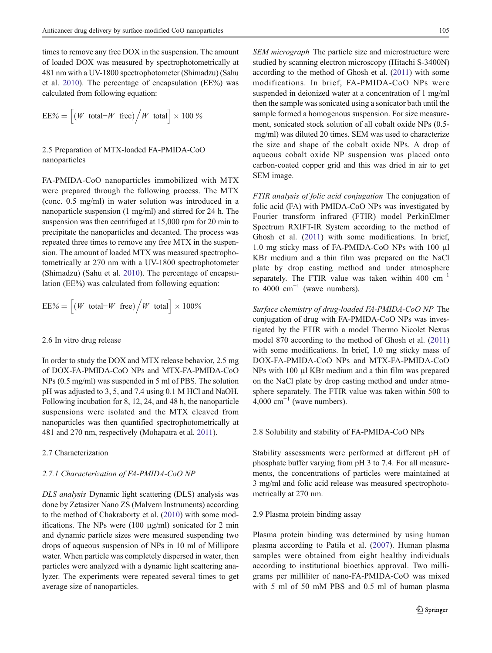times to remove any free DOX in the suspension. The amount of loaded DOX was measured by spectrophotometrically at 481 nm with a UV-1800 spectrophotometer (Shimadzu) (Sahu et al. [2010\)](#page-13-0). The percentage of encapsulation (EE%) was calculated from following equation:

$$
\mathrm{EE}\% = \Big[(W\;\; \text{total-}W\;\; \text{free})\Big/W\;\; \text{total}\Big]\times 100\,\%
$$

# 2.5 Preparation of MTX-loaded FA-PMIDA-CoO nanoparticles

FA-PMIDA-CoO nanoparticles immobilized with MTX were prepared through the following process. The MTX (conc. 0.5 mg/ml) in water solution was introduced in a nanoparticle suspension (1 mg/ml) and stirred for 24 h. The suspension was then centrifuged at 15,000 rpm for 20 min to precipitate the nanoparticles and decanted. The process was repeated three times to remove any free MTX in the suspension. The amount of loaded MTX was measured spectrophotometrically at 270 nm with a UV-1800 spectrophotometer (Shimadzu) (Sahu et al. [2010](#page-13-0)). The percentage of encapsulation (EE%) was calculated from following equation:

$$
EE\% = \left[ \left( W \text{ total-}W \text{ free} \right) \middle/ W \text{ total} \right] \times 100\%
$$

#### 2.6 In vitro drug release

In order to study the DOX and MTX release behavior, 2.5 mg of DOX-FA-PMIDA-CoO NPs and MTX-FA-PMIDA-CoO NPs (0.5 mg/ml) was suspended in 5 ml of PBS. The solution pH was adjusted to 3, 5, and 7.4 using 0.1 M HCl and NaOH. Following incubation for 8, 12, 24, and 48 h, the nanoparticle suspensions were isolated and the MTX cleaved from nanoparticles was then quantified spectrophotometrically at 481 and 270 nm, respectively (Mohapatra et al. [2011\)](#page-12-0).

### 2.7 Characterization

### 2.7.1 Characterization of FA-PMIDA-CoO NP

DLS analysis Dynamic light scattering (DLS) analysis was done by Zetasizer Nano ZS (Malvern Instruments) according to the method of Chakraborty et al. [\(2010\)](#page-12-0) with some modifications. The NPs were  $(100 \text{ µg/ml})$  sonicated for 2 min and dynamic particle sizes were measured suspending two drops of aqueous suspension of NPs in 10 ml of Millipore water. When particle was completely dispersed in water, then particles were analyzed with a dynamic light scattering analyzer. The experiments were repeated several times to get average size of nanoparticles.

SEM micrograph The particle size and microstructure were studied by scanning electron microscopy (Hitachi S-3400N) according to the method of Ghosh et al. [\(2011\)](#page-12-0) with some modifications. In brief, FA-PMIDA-CoO NPs were suspended in deionized water at a concentration of 1 mg/ml then the sample was sonicated using a sonicator bath until the sample formed a homogenous suspension. For size measurement, sonicated stock solution of all cobalt oxide NPs (0.5 mg/ml) was diluted 20 times. SEM was used to characterize the size and shape of the cobalt oxide NPs. A drop of aqueous cobalt oxide NP suspension was placed onto carbon-coated copper grid and this was dried in air to get SEM image.

FTIR analysis of folic acid conjugation The conjugation of folic acid (FA) with PMIDA-CoO NPs was investigated by Fourier transform infrared (FTIR) model PerkinElmer Spectrum RXIFT-IR System according to the method of Ghosh et al. ([2011\)](#page-12-0) with some modifications. In brief, 1.0 mg sticky mass of FA-PMIDA-CoO NPs with 100 μl KBr medium and a thin film was prepared on the NaCl plate by drop casting method and under atmosphere separately. The FTIR value was taken within 400  $cm^{-1}$ to 4000  $cm^{-1}$  (wave numbers).

Surface chemistry of drug-loaded FA-PMIDA-CoO NP The conjugation of drug with FA-PMIDA-CoO NPs was investigated by the FTIR with a model Thermo Nicolet Nexus model 870 according to the method of Ghosh et al. [\(2011](#page-12-0)) with some modifications. In brief, 1.0 mg sticky mass of DOX-FA-PMIDA-CoO NPs and MTX-FA-PMIDA-CoO NPs with 100 μl KBr medium and a thin film was prepared on the NaCl plate by drop casting method and under atmosphere separately. The FTIR value was taken within 500 to  $4,000 \text{ cm}^{-1}$  (wave numbers).

### 2.8 Solubility and stability of FA-PMIDA-CoO NPs

Stability assessments were performed at different pH of phosphate buffer varying from pH 3 to 7.4. For all measurements, the concentrations of particles were maintained at 3 mg/ml and folic acid release was measured spectrophotometrically at 270 nm.

### 2.9 Plasma protein binding assay

Plasma protein binding was determined by using human plasma according to Patila et al. [\(2007\)](#page-12-0). Human plasma samples were obtained from eight healthy individuals according to institutional bioethics approval. Two milligrams per milliliter of nano-FA-PMIDA-CoO was mixed with 5 ml of 50 mM PBS and 0.5 ml of human plasma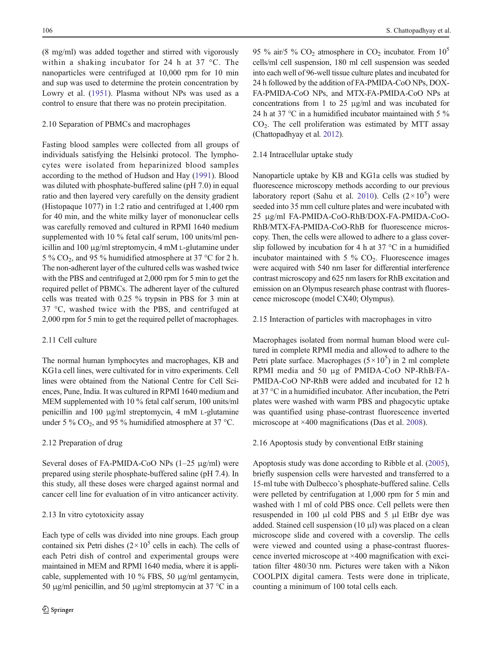(8 mg/ml) was added together and stirred with vigorously within a shaking incubator for 24 h at 37 °C. The nanoparticles were centrifuged at 10,000 rpm for 10 min and sup was used to determine the protein concentration by Lowry et al. ([1951\)](#page-12-0). Plasma without NPs was used as a control to ensure that there was no protein precipitation.

# 2.10 Separation of PBMCs and macrophages

Fasting blood samples were collected from all groups of individuals satisfying the Helsinki protocol. The lymphocytes were isolated from heparinized blood samples according to the method of Hudson and Hay [\(1991](#page-12-0)). Blood was diluted with phosphate-buffered saline (pH 7.0) in equal ratio and then layered very carefully on the density gradient (Histopaque 1077) in 1:2 ratio and centrifuged at 1,400 rpm for 40 min, and the white milky layer of mononuclear cells was carefully removed and cultured in RPMI 1640 medium supplemented with 10 % fetal calf serum, 100 units/ml penicillin and 100 μg/ml streptomycin, 4 mM L-glutamine under 5 % CO<sub>2</sub>, and 95 % humidified atmosphere at 37 °C for 2 h. The non-adherent layer of the cultured cells was washed twice with the PBS and centrifuged at 2,000 rpm for 5 min to get the required pellet of PBMCs. The adherent layer of the cultured cells was treated with 0.25 % trypsin in PBS for 3 min at 37 °C, washed twice with the PBS, and centrifuged at 2,000 rpm for 5 min to get the required pellet of macrophages.

# 2.11 Cell culture

The normal human lymphocytes and macrophages, KB and KG1a cell lines, were cultivated for in vitro experiments. Cell lines were obtained from the National Centre for Cell Sciences, Pune, India. It was cultured in RPMI 1640 medium and MEM supplemented with 10 % fetal calf serum, 100 units/ml penicillin and 100 μg/ml streptomycin, 4 mM L-glutamine under 5 %  $CO<sub>2</sub>$ , and 95 % humidified atmosphere at 37 °C.

### 2.12 Preparation of drug

Several doses of FA-PMIDA-CoO NPs (1–25 μg/ml) were prepared using sterile phosphate-buffered saline (pH 7.4). In this study, all these doses were charged against normal and cancer cell line for evaluation of in vitro anticancer activity.

### 2.13 In vitro cytotoxicity assay

Each type of cells was divided into nine groups. Each group contained six Petri dishes  $(2 \times 10^5 \text{ cells in each})$ . The cells of each Petri dish of control and experimental groups were maintained in MEM and RPMI 1640 media, where it is applicable, supplemented with 10 % FBS, 50 μg/ml gentamycin, 50 μg/ml penicillin, and 50 μg/ml streptomycin at 37 °C in a 95 % air/5 %  $CO<sub>2</sub>$  atmosphere in  $CO<sub>2</sub>$  incubator. From  $10<sup>5</sup>$ cells/ml cell suspension, 180 ml cell suspension was seeded into each well of 96-well tissue culture plates and incubated for 24 h followed by the addition of FA-PMIDA-CoO NPs, DOX-FA-PMIDA-CoO NPs, and MTX-FA-PMIDA-CoO NPs at concentrations from 1 to 25 μg/ml and was incubated for 24 h at 37 °C in a humidified incubator maintained with 5 %  $CO<sub>2</sub>$ . The cell proliferation was estimated by MTT assay (Chattopadhyay et al. [2012\)](#page-12-0).

# 2.14 Intracellular uptake study

Nanoparticle uptake by KB and KG1a cells was studied by fluorescence microscopy methods according to our previous laboratory report (Sahu et al. [2010\)](#page-13-0). Cells  $(2 \times 10^5)$  were seeded into 35 mm cell culture plates and were incubated with 25 μg/ml FA-PMIDA-CoO-RhB/DOX-FA-PMIDA-CoO-RhB/MTX-FA-PMIDA-CoO-RhB for fluorescence microscopy. Then, the cells were allowed to adhere to a glass coverslip followed by incubation for 4 h at 37  $\degree$ C in a humidified incubator maintained with  $5\%$  CO<sub>2</sub>. Fluorescence images were acquired with 540 nm laser for differential interference contrast microscopy and 625 nm lasers for RhB excitation and emission on an Olympus research phase contrast with fluorescence microscope (model CX40; Olympus).

# 2.15 Interaction of particles with macrophages in vitro

Macrophages isolated from normal human blood were cultured in complete RPMI media and allowed to adhere to the Petri plate surface. Macrophages  $(5 \times 10^5)$  in 2 ml complete RPMI media and 50 μg of PMIDA-CoO NP-RhB/FA-PMIDA-CoO NP-RhB were added and incubated for 12 h at 37 °C in a humidified incubator. After incubation, the Petri plates were washed with warm PBS and phagocytic uptake was quantified using phase-contrast fluorescence inverted microscope at ×400 magnifications (Das et al. [2008](#page-12-0)).

# 2.16 Apoptosis study by conventional EtBr staining

Apoptosis study was done according to Ribble et al. ([2005\)](#page-13-0), briefly suspension cells were harvested and transferred to a 15-ml tube with Dulbecco's phosphate-buffered saline. Cells were pelleted by centrifugation at 1,000 rpm for 5 min and washed with 1 ml of cold PBS once. Cell pellets were then resuspended in 100 μl cold PBS and 5 μl EtBr dye was added. Stained cell suspension  $(10 \mu l)$  was placed on a clean microscope slide and covered with a coverslip. The cells were viewed and counted using a phase-contrast fluorescence inverted microscope at ×400 magnification with excitation filter 480/30 nm. Pictures were taken with a Nikon COOLPIX digital camera. Tests were done in triplicate, counting a minimum of 100 total cells each.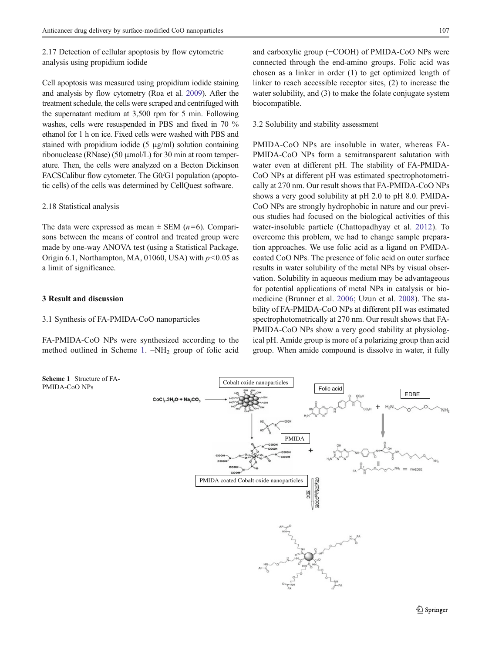2.17 Detection of cellular apoptosis by flow cytometric analysis using propidium iodide

Cell apoptosis was measured using propidium iodide staining and analysis by flow cytometry (Roa et al. [2009\)](#page-13-0). After the treatment schedule, the cells were scraped and centrifuged with the supernatant medium at 3,500 rpm for 5 min. Following washes, cells were resuspended in PBS and fixed in 70 % ethanol for 1 h on ice. Fixed cells were washed with PBS and stained with propidium iodide (5 μg/ml) solution containing ribonuclease (RNase) (50 μmol/L) for 30 min at room temperature. Then, the cells were analyzed on a Becton Dickinson FACSCalibur flow cytometer. The G0/G1 population (apoptotic cells) of the cells was determined by CellQuest software.

### 2.18 Statistical analysis

The data were expressed as mean  $\pm$  SEM (*n*=6). Comparisons between the means of control and treated group were made by one-way ANOVA test (using a Statistical Package, Origin 6.1, Northampton, MA, 01060, USA) with  $p<0.05$  as a limit of significance.

# 3 Result and discussion

### 3.1 Synthesis of FA-PMIDA-CoO nanoparticles

FA-PMIDA-CoO NPs were synthesized according to the method outlined in Scheme 1.  $-NH<sub>2</sub>$  group of folic acid

Scheme 1 Structure of FA-PMIDA-CoO NPs

and carboxylic group (−COOH) of PMIDA-CoO NPs were connected through the end-amino groups. Folic acid was chosen as a linker in order (1) to get optimized length of linker to reach accessible receptor sites, (2) to increase the water solubility, and (3) to make the folate conjugate system biocompatible.

3.2 Solubility and stability assessment

PMIDA-CoO NPs are insoluble in water, whereas FA-PMIDA-CoO NPs form a semitransparent salutation with water even at different pH. The stability of FA-PMIDA-CoO NPs at different pH was estimated spectrophotometrically at 270 nm. Our result shows that FA-PMIDA-CoO NPs shows a very good solubility at pH 2.0 to pH 8.0. PMIDA-CoO NPs are strongly hydrophobic in nature and our previous studies had focused on the biological activities of this water-insoluble particle (Chattopadhyay et al. [2012\)](#page-12-0). To overcome this problem, we had to change sample preparation approaches. We use folic acid as a ligand on PMIDAcoated CoO NPs. The presence of folic acid on outer surface results in water solubility of the metal NPs by visual observation. Solubility in aqueous medium may be advantageous for potential applications of metal NPs in catalysis or biomedicine (Brunner et al. [2006](#page-12-0); Uzun et al. [2008](#page-13-0)). The stability of FA-PMIDA-CoO NPs at different pH was estimated spectrophotometrically at 270 nm. Our result shows that FA-PMIDA-CoO NPs show a very good stability at physiological pH. Amide group is more of a polarizing group than acid group. When amide compound is dissolve in water, it fully

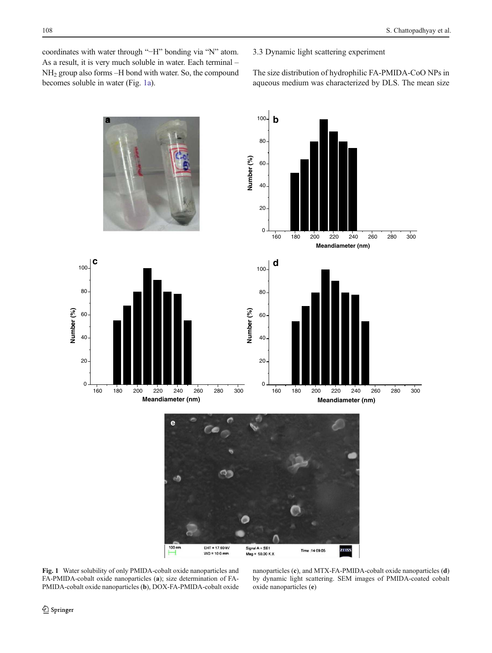<span id="page-5-0"></span>coordinates with water through "−H" bonding via "N" atom. As a result, it is very much soluble in water. Each terminal – NH<sup>2</sup> group also forms –H bond with water. So, the compound becomes soluble in water (Fig. 1a).

3.3 Dynamic light scattering experiment

The size distribution of hydrophilic FA-PMIDA-CoO NPs in aqueous medium was characterized by DLS. The mean size



Fig. 1 Water solubility of only PMIDA-cobalt oxide nanoparticles and FA-PMIDA-cobalt oxide nanoparticles (a); size determination of FA-PMIDA-cobalt oxide nanoparticles (b), DOX-FA-PMIDA-cobalt oxide

nanoparticles (c), and MTX-FA-PMIDA-cobalt oxide nanoparticles (d) by dynamic light scattering. SEM images of PMIDA-coated cobalt oxide nanoparticles (e)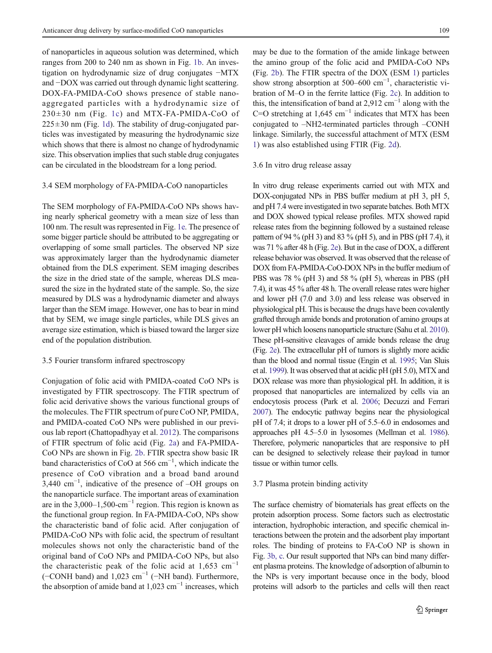of nanoparticles in aqueous solution was determined, which ranges from 200 to 240 nm as shown in Fig. [1b](#page-5-0). An investigation on hydrodynamic size of drug conjugates −MTX and −DOX was carried out through dynamic light scattering. DOX-FA-PMIDA-CoO shows presence of stable nanoaggregated particles with a hydrodynamic size of  $230\pm30$  nm (Fig. [1c](#page-5-0)) and MTX-FA-PMIDA-CoO of  $225\pm30$  nm (Fig. [1d](#page-5-0)). The stability of drug-conjugated particles was investigated by measuring the hydrodynamic size which shows that there is almost no change of hydrodynamic size. This observation implies that such stable drug conjugates can be circulated in the bloodstream for a long period.

# 3.4 SEM morphology of FA-PMIDA-CoO nanoparticles

The SEM morphology of FA-PMIDA-CoO NPs shows having nearly spherical geometry with a mean size of less than 100 nm. The result was represented in Fig. [1e.](#page-5-0) The presence of some bigger particle should be attributed to be aggregating or overlapping of some small particles. The observed NP size was approximately larger than the hydrodynamic diameter obtained from the DLS experiment. SEM imaging describes the size in the dried state of the sample, whereas DLS measured the size in the hydrated state of the sample. So, the size measured by DLS was a hydrodynamic diameter and always larger than the SEM image. However, one has to bear in mind that by SEM, we image single particles, while DLS gives an average size estimation, which is biased toward the larger size end of the population distribution.

### 3.5 Fourier transform infrared spectroscopy

Conjugation of folic acid with PMIDA-coated CoO NPs is investigated by FTIR spectroscopy. The FTIR spectrum of folic acid derivative shows the various functional groups of the molecules. The FTIR spectrum of pure CoO NP, PMIDA, and PMIDA-coated CoO NPs were published in our previous lab report (Chattopadhyay et al. [2012\)](#page-12-0). The comparisons of FTIR spectrum of folic acid (Fig. [2a\)](#page-7-0) and FA-PMIDA-CoO NPs are shown in Fig. [2b](#page-7-0). FTIR spectra show basic IR band characteristics of CoO at 566 cm<sup>-1</sup>, which indicate the presence of CoO vibration and a broad band around 3,440 cm−<sup>1</sup> , indicative of the presence of –OH groups on the nanoparticle surface. The important areas of examination are in the  $3,000-1,500\text{-cm}^{-1}$  region. This region is known as the functional group region. In FA-PMIDA-CoO, NPs show the characteristic band of folic acid. After conjugation of PMIDA-CoO NPs with folic acid, the spectrum of resultant molecules shows not only the characteristic band of the original band of CoO NPs and PMIDA-CoO NPs, but also the characteristic peak of the folic acid at  $1,653$  cm<sup>-1</sup> (−CONH band) and 1,023 cm−<sup>1</sup> (−NH band). Furthermore, the absorption of amide band at 1,023 cm−<sup>1</sup> increases, which

may be due to the formation of the amide linkage between the amino group of the folic acid and PMIDA-CoO NPs (Fig. [2b](#page-7-0)). The FTIR spectra of the DOX (ESM 1) particles show strong absorption at 500–600 cm<sup>-1</sup>, characteristic vibration of M–O in the ferrite lattice (Fig. [2c\)](#page-7-0). In addition to this, the intensification of band at 2,912  $cm^{-1}$  along with the C=O stretching at 1,645 cm<sup>-1</sup> indicates that MTX has been conjugated to –NH2-terminated particles through –CONH linkage. Similarly, the successful attachment of MTX (ESM 1) was also established using FTIR (Fig. [2d](#page-7-0)).

### 3.6 In vitro drug release assay

In vitro drug release experiments carried out with MTX and DOX-conjugated NPs in PBS buffer medium at pH 3, pH 5, and pH 7.4 were investigated in two separate batches. Both MTX and DOX showed typical release profiles. MTX showed rapid release rates from the beginning followed by a sustained release pattern of 94 % (pH 3) and 83 % (pH 5), and in PBS (pH 7.4), it was 71 % after 48 h (Fig. [2e](#page-7-0)). But in the case of DOX, a different release behavior was observed. It was observed that the release of DOX from FA-PMIDA-CoO-DOX NPs in the buffer medium of PBS was 78 % (pH 3) and 58 % (pH 5), whereas in PBS (pH 7.4), it was 45 % after 48 h. The overall release rates were higher and lower pH (7.0 and 3.0) and less release was observed in physiological pH. This is because the drugs have been covalently grafted through amide bonds and protonation of amino groups at lower pH which loosens nanoparticle structure (Sahu et al. [2010\)](#page-13-0). These pH-sensitive cleavages of amide bonds release the drug (Fig. [2e](#page-7-0)). The extracellular pH of tumors is slightly more acidic than the blood and normal tissue (Engin et al. [1995](#page-12-0); Van Sluis et al. [1999](#page-13-0)). It was observed that at acidic pH (pH 5.0), MTX and DOX release was more than physiological pH. In addition, it is proposed that nanoparticles are internalized by cells via an endocytosis process (Park et al. [2006;](#page-12-0) Decuzzi and Ferrari [2007](#page-12-0)). The endocytic pathway begins near the physiological pH of 7.4; it drops to a lower pH of 5.5–6.0 in endosomes and approaches pH 4.5–5.0 in lysosomes (Mellman et al. [1986\)](#page-12-0). Therefore, polymeric nanoparticles that are responsive to pH can be designed to selectively release their payload in tumor tissue or within tumor cells.

# 3.7 Plasma protein binding activity

The surface chemistry of biomaterials has great effects on the protein adsorption process. Some factors such as electrostatic interaction, hydrophobic interaction, and specific chemical interactions between the protein and the adsorbent play important roles. The binding of proteins to FA-CoO NP is shown in Fig. [3b, c](#page-8-0). Our result supported that NPs can bind many different plasma proteins. The knowledge of adsorption of albumin to the NPs is very important because once in the body, blood proteins will adsorb to the particles and cells will then react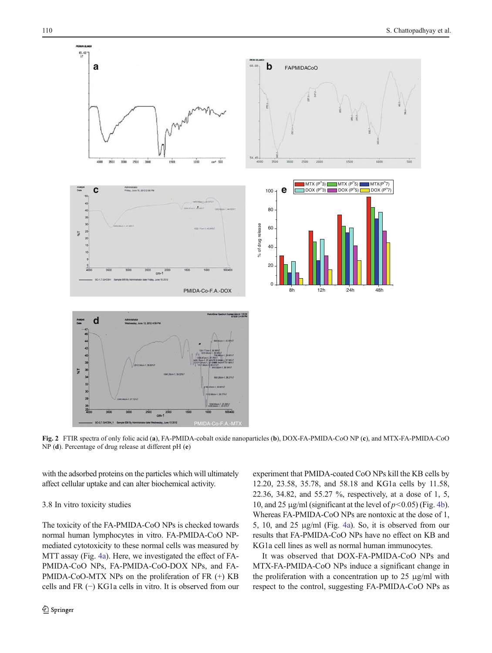<span id="page-7-0"></span>

Fig. 2 FTIR spectra of only folic acid (a), FA-PMIDA-cobalt oxide nanoparticles (b), DOX-FA-PMIDA-CoO NP (c), and MTX-FA-PMIDA-CoO NP (d). Percentage of drug release at different pH (e)

with the adsorbed proteins on the particles which will ultimately affect cellular uptake and can alter biochemical activity.

### 3.8 In vitro toxicity studies

The toxicity of the FA-PMIDA-CoO NPs is checked towards normal human lymphocytes in vitro. FA-PMIDA-CoO NPmediated cytotoxicity to these normal cells was measured by MTT assay (Fig. [4a](#page-8-0)). Here, we investigated the effect of FA-PMIDA-CoO NPs, FA-PMIDA-CoO-DOX NPs, and FA-PMIDA-CoO-MTX NPs on the proliferation of FR (+) KB cells and FR (−) KG1a cells in vitro. It is observed from our experiment that PMIDA-coated CoO NPs kill the KB cells by 12.20, 23.58, 35.78, and 58.18 and KG1a cells by 11.58, 22.36, 34.82, and 55.27 %, respectively, at a dose of 1, 5, 10, and 25 μg/ml (significant at the level of  $p < 0.05$ ) (Fig. [4b\)](#page-8-0). Whereas FA-PMIDA-CoO NPs are nontoxic at the dose of 1, 5, 10, and 25 μg/ml (Fig. [4a](#page-8-0)). So, it is observed from our results that FA-PMIDA-CoO NPs have no effect on KB and KG1a cell lines as well as normal human immunocytes.

It was observed that DOX-FA-PMIDA-CoO NPs and MTX-FA-PMIDA-CoO NPs induce a significant change in the proliferation with a concentration up to 25 μg/ml with respect to the control, suggesting FA-PMIDA-CoO NPs as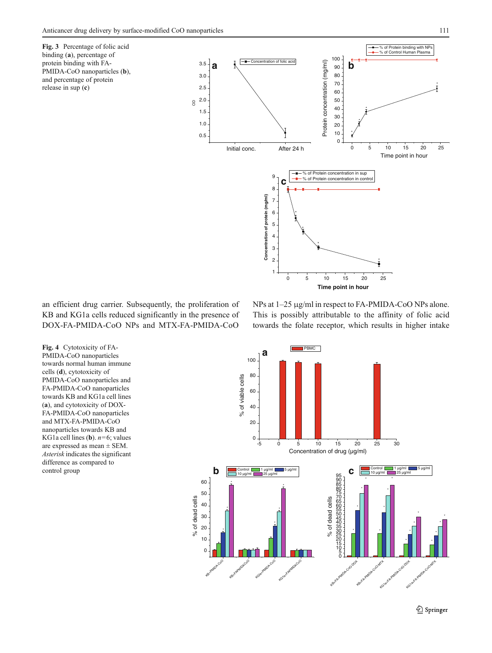<span id="page-8-0"></span>Fig. 3 Percentage of folic acid binding (a), percentage of protein binding with FA-PMIDA-CoO nanoparticles (b), and percentage of protein release in sup (c)



an efficient drug carrier. Subsequently, the proliferation of KB and KG1a cells reduced significantly in the presence of DOX-FA-PMIDA-CoO NPs and MTX-FA-PMIDA-CoO

NPs at 1–25 μg/ml in respect to FA-PMIDA-CoO NPs alone. This is possibly attributable to the affinity of folic acid towards the folate receptor, which results in higher intake

**Time point in hour**



Fig. 4 Cytotoxicity of FA-PMIDA-CoO nanoparticles towards normal human immune cells (d), cytotoxicity of PMIDA-CoO nanoparticles and FA-PMIDA-CoO nanoparticles towards KB and KG1a cell lines (a), and cytotoxicity of DOX-FA-PMIDA-CoO nanoparticles and MTX-FA-PMIDA-CoO nanoparticles towards KB and KG1a cell lines (**b**).  $n=6$ ; values are expressed as mean ± SEM. Asterisk indicates the significant difference as compared to control group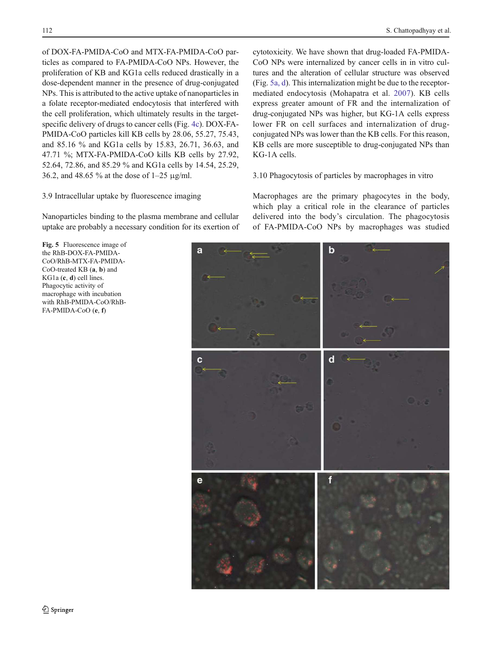<span id="page-9-0"></span>of DOX-FA-PMIDA-CoO and MTX-FA-PMIDA-CoO particles as compared to FA-PMIDA-CoO NPs. However, the proliferation of KB and KG1a cells reduced drastically in a dose-dependent manner in the presence of drug-conjugated NPs. This is attributed to the active uptake of nanoparticles in a folate receptor-mediated endocytosis that interfered with the cell proliferation, which ultimately results in the targetspecific delivery of drugs to cancer cells (Fig. [4c](#page-8-0)). DOX-FA-PMIDA-CoO particles kill KB cells by 28.06, 55.27, 75.43, and 85.16 % and KG1a cells by 15.83, 26.71, 36.63, and 47.71 %; MTX-FA-PMIDA-CoO kills KB cells by 27.92, 52.64, 72.86, and 85.29 % and KG1a cells by 14.54, 25.29, 36.2, and 48.65 % at the dose of 1–25 μg/ml.

# 3.9 Intracellular uptake by fluorescence imaging

Nanoparticles binding to the plasma membrane and cellular uptake are probably a necessary condition for its exertion of

Fig. 5 Fluorescence image of the RhB-DOX-FA-PMIDA-CoO/RhB-MTX-FA-PMIDA-CoO-treated KB (a, b) and KG1a (c, d) cell lines. Phagocytic activity of macrophage with incubation with RhB-PMIDA-CoO/RhB-FA-PMIDA-CoO (e, f)

cytotoxicity. We have shown that drug-loaded FA-PMIDA-CoO NPs were internalized by cancer cells in in vitro cultures and the alteration of cellular structure was observed (Fig. 5a, d). This internalization might be due to the receptormediated endocytosis (Mohapatra et al. [2007](#page-12-0)). KB cells express greater amount of FR and the internalization of drug-conjugated NPs was higher, but KG-1A cells express lower FR on cell surfaces and internalization of drugconjugated NPs was lower than the KB cells. For this reason, KB cells are more susceptible to drug-conjugated NPs than KG-1A cells.

# 3.10 Phagocytosis of particles by macrophages in vitro

Macrophages are the primary phagocytes in the body, which play a critical role in the clearance of particles delivered into the body's circulation. The phagocytosis of FA-PMIDA-CoO NPs by macrophages was studied

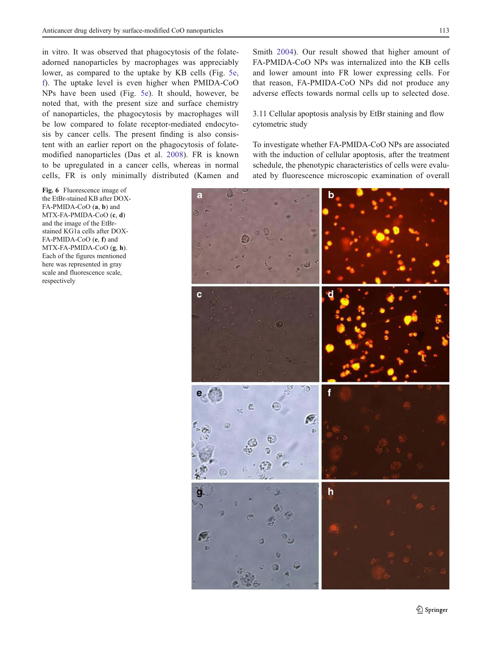<span id="page-10-0"></span>in vitro. It was observed that phagocytosis of the folateadorned nanoparticles by macrophages was appreciably lower, as compared to the uptake by KB cells (Fig. [5e,](#page-9-0) [f](#page-9-0)). The uptake level is even higher when PMIDA-CoO NPs have been used (Fig. [5e\)](#page-9-0). It should, however, be noted that, with the present size and surface chemistry of nanoparticles, the phagocytosis by macrophages will

be low compared to folate receptor-mediated endocytosis by cancer cells. The present finding is also consistent with an earlier report on the phagocytosis of folatemodified nanoparticles (Das et al. [2008](#page-12-0)). FR is known to be upregulated in a cancer cells, whereas in normal cells, FR is only minimally distributed (Kamen and

Fig. 6 Fluorescence image of the EtBr-stained KB after DOX-FA-PMIDA-CoO (a, b) and MTX-FA-PMIDA-CoO (c, d) and the image of the EtBrstained KG1a cells after DOX-FA-PMIDA-CoO (e, f) and MTX-FA-PMIDA-CoO (g, h). Each of the figures mentioned here was represented in gray scale and fluorescence scale, respectively

Smith [2004](#page-12-0)). Our result showed that higher amount of FA-PMIDA-CoO NPs was internalized into the KB cells and lower amount into FR lower expressing cells. For that reason, FA-PMIDA-CoO NPs did not produce any adverse effects towards normal cells up to selected dose.

3.11 Cellular apoptosis analysis by EtBr staining and flow cytometric study

To investigate whether FA-PMIDA-CoO NPs are associated with the induction of cellular apoptosis, after the treatment schedule, the phenotypic characteristics of cells were evaluated by fluorescence microscopic examination of overall

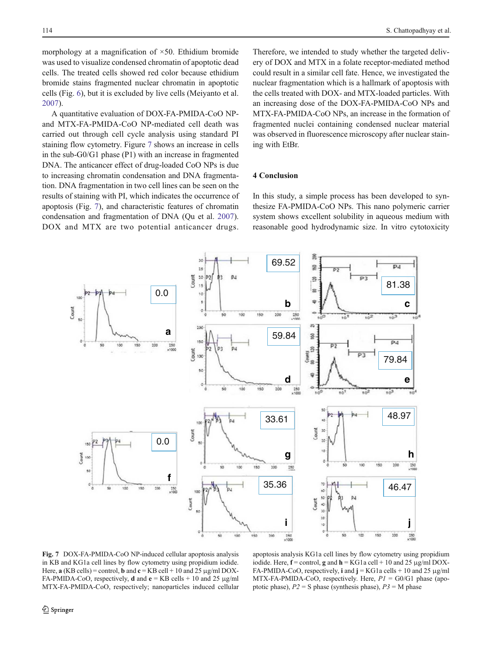morphology at a magnification of  $\times$ 50. Ethidium bromide was used to visualize condensed chromatin of apoptotic dead cells. The treated cells showed red color because ethidium bromide stains fragmented nuclear chromatin in apoptotic cells (Fig. [6\)](#page-10-0), but it is excluded by live cells (Meiyanto et al. [2007\)](#page-12-0).

A quantitative evaluation of DOX-FA-PMIDA-CoO NPand MTX-FA-PMIDA-CoO NP-mediated cell death was carried out through cell cycle analysis using standard PI staining flow cytometry. Figure 7 shows an increase in cells in the sub-G0/G1 phase (P1) with an increase in fragmented DNA. The anticancer effect of drug-loaded CoO NPs is due to increasing chromatin condensation and DNA fragmentation. DNA fragmentation in two cell lines can be seen on the results of staining with PI, which indicates the occurrence of apoptosis (Fig. 7), and characteristic features of chromatin condensation and fragmentation of DNA (Qu et al. [2007](#page-12-0)). DOX and MTX are two potential anticancer drugs.

Therefore, we intended to study whether the targeted delivery of DOX and MTX in a folate receptor-mediated method could result in a similar cell fate. Hence, we investigated the nuclear fragmentation which is a hallmark of apoptosis with the cells treated with DOX- and MTX-loaded particles. With an increasing dose of the DOX-FA-PMIDA-CoO NPs and MTX-FA-PMIDA-CoO NPs, an increase in the formation of fragmented nuclei containing condensed nuclear material was observed in fluorescence microscopy after nuclear staining with EtBr.

# 4 Conclusion

In this study, a simple process has been developed to synthesize FA-PMIDA-CoO NPs. This nano polymeric carrier system shows excellent solubility in aqueous medium with reasonable good hydrodynamic size. In vitro cytotoxicity



Fig. 7 DOX-FA-PMIDA-CoO NP-induced cellular apoptosis analysis in KB and KG1a cell lines by flow cytometry using propidium iodide. Here,  $\mathbf{a}$  (KB cells) = control,  $\mathbf{b}$  and  $\mathbf{c}$  = KB cell + 10 and 25 µg/ml DOX-FA-PMIDA-CoO, respectively, **d** and  $e = KB$  cells + 10 and 25  $\mu$ g/ml MTX-FA-PMIDA-CoO, respectively; nanoparticles induced cellular

apoptosis analysis KG1a cell lines by flow cytometry using propidium iodide. Here,  $f =$  control, g and  $h =$  KG1a cell + 10 and 25  $\mu$ g/ml DOX-FA-PMIDA-CoO, respectively, i and  $j = KG1a$  cells + 10 and 25 µg/ml MTX-FA-PMIDA-CoO, respectively. Here,  $PI = GO/G1$  phase (apoptotic phase),  $P2 = S$  phase (synthesis phase),  $P3 = M$  phase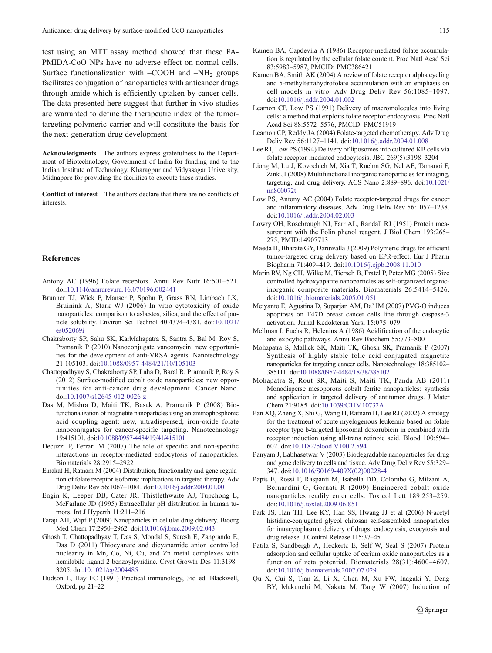<span id="page-12-0"></span>test using an MTT assay method showed that these FA-PMIDA-CoO NPs have no adverse effect on normal cells. Surface functionalization with  $-COOH$  and  $-NH<sub>2</sub>$  groups facilitates conjugation of nanoparticles with anticancer drugs through amide which is efficiently uptaken by cancer cells. The data presented here suggest that further in vivo studies are warranted to define the therapeutic index of the tumortargeting polymeric carrier and will constitute the basis for the next-generation drug development.

Acknowledgments The authors express gratefulness to the Department of Biotechnology, Government of India for funding and to the Indian Institute of Technology, Kharagpur and Vidyasagar University, Midnapore for providing the facilities to execute these studies.

Conflict of interest The authors declare that there are no conflicts of interests.

### References

- Antony AC (1996) Folate receptors. Annu Rev Nutr 16:501–521. doi[:10.1146/annurev.nu.16.070196.002441](http://dx.doi.org/10.1146/annurev.nu.16.070196.002441)
- Brunner TJ, Wick P, Manser P, Spohn P, Grass RN, Limbach LK, Bruinink A, Stark WJ (2006) In vitro cytotoxicity of oxide nanoparticles: comparison to asbestos, silica, and the effect of particle solubility. Environ Sci Technol 40:4374–4381. doi[:10.1021/](http://dx.doi.org/10.1021/es052069i) [es052069i](http://dx.doi.org/10.1021/es052069i)
- Chakraborty SP, Sahu SK, KarMahapatra S, Santra S, Bal M, Roy S, Pramanik P (2010) Nanoconjugate vancomycin: new opportunities for the development of anti-VRSA agents. Nanotechnology 21:105103. doi:[10.1088/0957-4484/21/10/105103](http://dx.doi.org/10.1088/0957-4484/21/10/105103)
- Chattopadhyay S, Chakraborty SP, Laha D, Baral R, Pramanik P, Roy S (2012) Surface-modified cobalt oxide nanoparticles: new opportunities for anti-cancer drug development. Cancer Nano. doi[:10.1007/s12645-012-0026-z](http://dx.doi.org/10.1007/s12645-012-0026-z)
- Das M, Mishra D, Maiti TK, Basak A, Pramanik P (2008) Biofunctionalization of magnetite nanoparticles using an aminophosphonic acid coupling agent: new, ultradispersed, iron-oxide folate nanoconjugates for cancer-specific targeting. Nanotechnology 19:415101. doi[:10.1088/0957-4484/19/41/415101](http://dx.doi.org/10.1088/0957-4484/19/41/415101)
- Decuzzi P, Ferrari M (2007) The role of specific and non-specific interactions in receptor-mediated endocytosis of nanoparticles. Biomaterials 28:2915–2922
- Elnakat H, Ratnam M (2004) Distribution, functionality and gene regulation of folate receptor isoforms: implications in targeted therapy. Adv Drug Deliv Rev 56:1067–1084. doi[:10.1016/j.addr.2004.01.001](http://dx.doi.org/10.1016/j.addr.2004.01.001)
- Engin K, Leeper DB, Cater JR, Thistlethwaite AJ, Tupchong L, McFarlane JD (1995) Extracellular pH distribution in human tumors. Int J Hyperth 11:211–216
- Faraji AH, Wipf P (2009) Nanoparticles in cellular drug delivery. Bioorg Med Chem 17:2950–2962. doi:[10.1016/j.bmc.2009.02.043](http://dx.doi.org/10.1016/j.bmc.2009.02.043)
- Ghosh T, Chattopadhyay T, Das S, Mondal S, Suresh E, Zangrando E, Das D (2011) Thiocyanate and dicyanamide anion controlled nuclearity in Mn, Co, Ni, Cu, and Zn metal complexes with hemilabile ligand 2-benzoylpyridine. Cryst Growth Des 11:3198– 3205. doi[:10.1021/cg2004485](http://dx.doi.org/10.1021/cg2004485)
- Hudson L, Hay FC (1991) Practical immunology, 3rd ed. Blackwell, Oxford, pp 21–22
- Kamen BA, Capdevila A (1986) Receptor-mediated folate accumulation is regulated by the cellular folate content. Proc Natl Acad Sci 83:5983–5987, PMCID: PMC386421
- Kamen BA, Smith AK (2004) A review of folate receptor alpha cycling and 5-methyltetrahydrofolate accumulation with an emphasis on cell models in vitro. Adv Drug Deliv Rev 56:1085–1097. doi[:10.1016/j.addr.2004.01.002](http://dx.doi.org/10.1016/j.addr.2004.01.002)
- Leamon CP, Low PS (1991) Delivery of macromolecules into living cells: a method that exploits folate receptor endocytosis. Proc Natl Acad Sci 88:5572–5576, PMCID: PMC51919
- Leamon CP, Reddy JA (2004) Folate-targeted chemotherapy. Adv Drug Deliv Rev 56:1127–1141. doi:[10.1016/j.addr.2004.01.008](http://dx.doi.org/10.1016/j.addr.2004.01.008)
- Lee RJ, Low PS (1994) Delivery of liposomes into cultured KB cells via folate receptor-mediated endocytosis. JBC 269(5):3198–3204
- Liong M, Lu J, Kovochich M, Xia T, Ruehm SG, Nel AE, Tamanoi F, Zink JI (2008) Multifunctional inorganic nanoparticles for imaging, targeting, and drug delivery. ACS Nano 2:889–896. doi[:10.1021/](http://dx.doi.org/10.1021/nn800072t) [nn800072t](http://dx.doi.org/10.1021/nn800072t)
- Low PS, Antony AC (2004) Folate receptor-targeted drugs for cancer and inflammatory diseases. Adv Drug Deliv Rev 56:1057–1238. doi[:10.1016/j.addr.2004.02.003](http://dx.doi.org/10.1016/j.addr.2004.02.003)
- Lowry OH, Rosebrough NJ, Farr AL, Randall RJ (1951) Protein measurement with the Folin phenol reagent. J Biol Chem 193:265– 275, PMID:14907713
- Maeda H, Bharate GY, Daruwalla J (2009) Polymeric drugs for efficient tumor-targeted drug delivery based on EPR-effect. Eur J Pharm Biopharm 71:409–419. doi:[10.1016/j.ejpb.2008.11.010](http://dx.doi.org/10.1016/j.ejpb.2008.11.010)
- Marin RV, Ng CH, Wilke M, Tiersch B, Fratzl P, Peter MG (2005) Size controlled hydroxyapatite nanoparticles as self-organized organicinorganic composite materials. Biomaterials 26:5414–5426. doi[:10.1016/j.biomaterials.2005.01.051](http://dx.doi.org/10.1016/j.biomaterials.2005.01.051)
- Meiyanto E, Agustina D, Suparjan AM, Da' IM (2007) PVG-O induces apoptosis on T47D breast cancer cells line through caspase-3 activation. Jurnal Kedokteran Yarsi 15:075–079
- Mellman I, Fuchs R, Helenius A (1986) Acidification of the endocytic and exocytic pathways. Annu Rev Biochem 55:773–800
- Mohapatra S, Mallick SK, Maiti TK, Ghosh SK, Pramanik P (2007) Synthesis of highly stable folic acid conjugated magnetite nanoparticles for targeting cancer cells. Nanotechnology 18:385102– 385111. doi[:10.1088/0957-4484/18/38/385102](http://dx.doi.org/10.1088/0957-4484/18/38/385102)
- Mohapatra S, Rout SR, Maiti S, Maiti TK, Panda AB (2011) Monodisperse mesoporous cobalt ferrite nanoparticles: synthesis and application in targeted delivery of antitumor drugs. J Mater Chem 21:9185. doi[:10.1039/C1JM10732A](http://dx.doi.org/10.1039/C1JM10732A)
- Pan XQ, Zheng X, Shi G, Wang H, Ratnam H, Lee RJ (2002) A strategy for the treatment of acute myelogenous leukemia based on folate receptor type b-targeted liposomal doxorubicin in combined with receptor induction using all-trans retinoic acid. Blood 100:594– 602. doi[:10.1182/blood.V100.2.594](http://dx.doi.org/10.1182/blood.V100.2.594)
- Panyam J, Labhasetwar V (2003) Biodegradable nanoparticles for drug and gene delivery to cells and tissue. Adv Drug Deliv Rev 55:329– 347. doi[:10.1016/S0169-409X\(02\)00228-4](http://dx.doi.org/10.1016/S0169-409X(02)00228-4)
- Papis E, Rossi F, Raspanti M, Isabella DD, Colombo G, Milzani A, Bernardini G, Gornati R (2009) Engineered cobalt oxide nanoparticles readily enter cells. Toxicol Lett 189:253–259. doi[:10.1016/j.toxlet.2009.06.851](http://dx.doi.org/10.1016/j.toxlet.2009.06.851)
- Park JS, Han TH, Lee KY, Han SS, Hwang JJ et al (2006) N-acetyl histidine-conjugated glycol chitosan self-assembled nanoparticles for intracytoplasmic delivery of drugs: endocytosis, exocytosis and drug release. J Control Release 115:37–45
- Patila S, Sandbergb A, Heckertc E, Self W, Seal S (2007) Protein adsorption and cellular uptake of cerium oxide nanoparticles as a function of zeta potential. Biomaterials 28(31):4600–4607. doi[:10.1016/j.biomaterials.2007.07.029](http://dx.doi.org/10.1016/j.biomaterials.2007.07.029)
- Qu X, Cui S, Tian Z, Li X, Chen M, Xu FW, Inagaki Y, Deng BY, Makuuchi M, Nakata M, Tang W (2007) Induction of